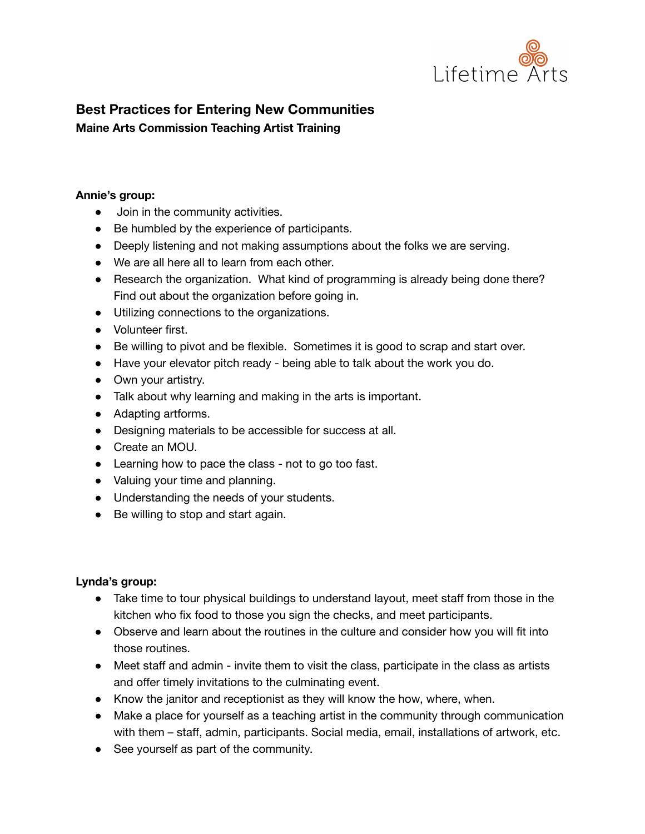

# **Best Practices for Entering New Communities Maine Arts Commission Teaching Artist Training**

#### **Annie's group:**

- Join in the community activities.
- Be humbled by the experience of participants.
- Deeply listening and not making assumptions about the folks we are serving.
- We are all here all to learn from each other.
- Research the organization. What kind of programming is already being done there? Find out about the organization before going in.
- Utilizing connections to the organizations.
- Volunteer first.
- Be willing to pivot and be flexible. Sometimes it is good to scrap and start over.
- Have your elevator pitch ready being able to talk about the work you do.
- Own your artistry.
- Talk about why learning and making in the arts is important.
- Adapting artforms.
- Designing materials to be accessible for success at all.
- Create an MOU.
- Learning how to pace the class not to go too fast.
- Valuing your time and planning.
- Understanding the needs of your students.
- Be willing to stop and start again.

#### **Lynda's group:**

- **●** Take time to tour physical buildings to understand layout, meet staff from those in the kitchen who fix food to those you sign the checks, and meet participants.
- **●** Observe and learn about the routines in the culture and consider how you will fit into those routines.
- Meet staff and admin invite them to visit the class, participate in the class as artists and offer timely invitations to the culminating event.
- Know the janitor and receptionist as they will know the how, where, when.
- Make a place for yourself as a teaching artist in the community through communication with them – staff, admin, participants. Social media, email, installations of artwork, etc.
- See yourself as part of the community.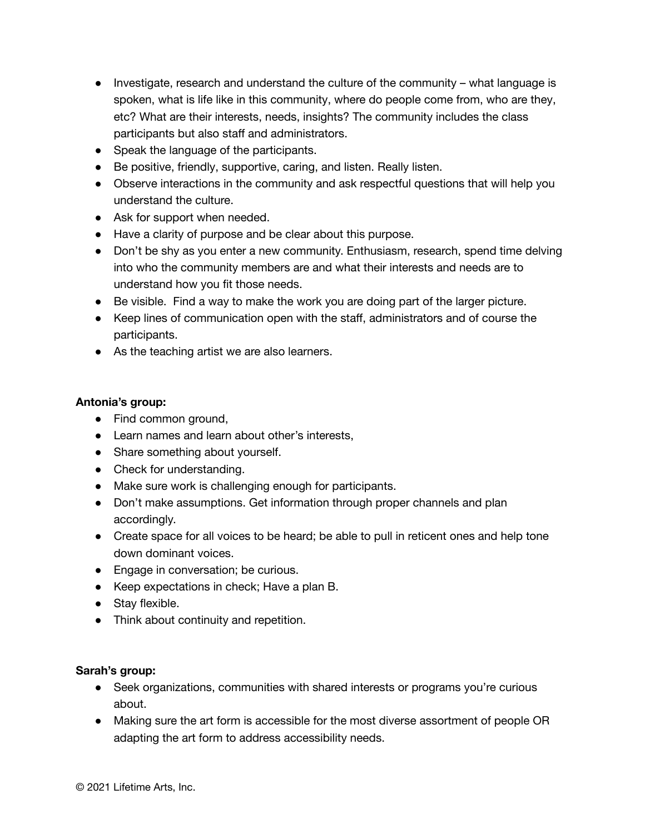- Investigate, research and understand the culture of the community what language is spoken, what is life like in this community, where do people come from, who are they, etc? What are their interests, needs, insights? The community includes the class participants but also staff and administrators.
- Speak the language of the participants.
- Be positive, friendly, supportive, caring, and listen. Really listen.
- Observe interactions in the community and ask respectful questions that will help you understand the culture.
- Ask for support when needed.
- Have a clarity of purpose and be clear about this purpose.
- Don't be shy as you enter a new community. Enthusiasm, research, spend time delving into who the community members are and what their interests and needs are to understand how you fit those needs.
- Be visible. Find a way to make the work you are doing part of the larger picture.
- Keep lines of communication open with the staff, administrators and of course the participants.
- As the teaching artist we are also learners.

## **Antonia's group:**

- **●** Find common ground,
- **●** Learn names and learn about other's interests,
- **●** Share something about yourself.
- **●** Check for understanding.
- **●** Make sure work is challenging enough for participants.
- **●** Don't make assumptions. Get information through proper channels and plan accordingly.
- **●** Create space for all voices to be heard; be able to pull in reticent ones and help tone down dominant voices.
- **●** Engage in conversation; be curious.
- **●** Keep expectations in check; Have a plan B.
- **●** Stay flexible.
- **●** Think about continuity and repetition.

## **Sarah's group:**

- Seek organizations, communities with shared interests or programs you're curious about.
- Making sure the art form is accessible for the most diverse assortment of people OR adapting the art form to address accessibility needs.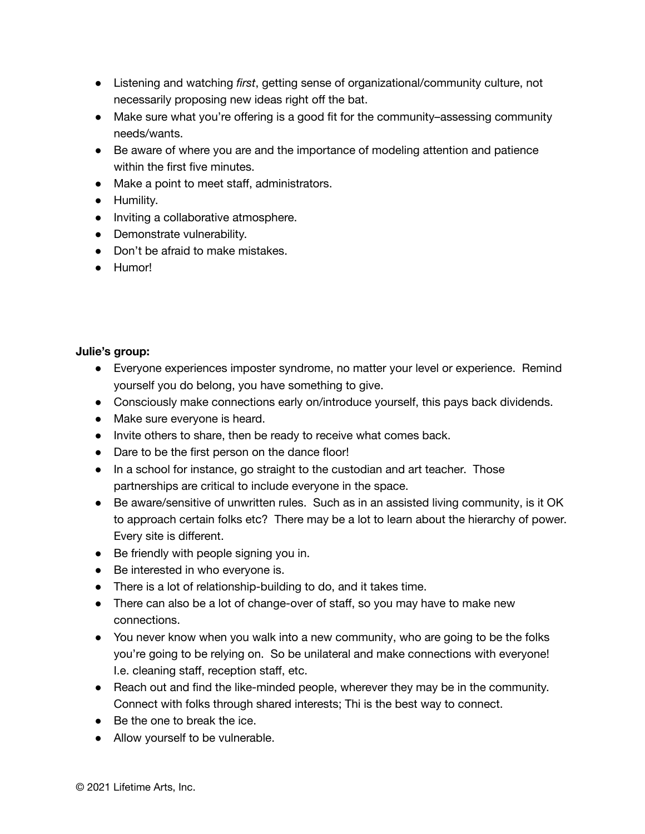- Listening and watching *first*, getting sense of organizational/community culture, not necessarily proposing new ideas right off the bat.
- Make sure what you're offering is a good fit for the community–assessing community needs/wants.
- Be aware of where you are and the importance of modeling attention and patience within the first five minutes.
- Make a point to meet staff, administrators.
- Humility.
- Inviting a collaborative atmosphere.
- Demonstrate vulnerability.
- Don't be afraid to make mistakes.
- Humor!

## **Julie's group:**

- Everyone experiences imposter syndrome, no matter your level or experience. Remind yourself you do belong, you have something to give.
- Consciously make connections early on/introduce yourself, this pays back dividends.
- Make sure everyone is heard.
- Invite others to share, then be ready to receive what comes back.
- Dare to be the first person on the dance floor!
- In a school for instance, go straight to the custodian and art teacher. Those partnerships are critical to include everyone in the space.
- Be aware/sensitive of unwritten rules. Such as in an assisted living community, is it OK to approach certain folks etc? There may be a lot to learn about the hierarchy of power. Every site is different.
- Be friendly with people signing you in.
- Be interested in who everyone is.
- There is a lot of relationship-building to do, and it takes time.
- There can also be a lot of change-over of staff, so you may have to make new connections.
- You never know when you walk into a new community, who are going to be the folks you're going to be relying on. So be unilateral and make connections with everyone! I.e. cleaning staff, reception staff, etc.
- Reach out and find the like-minded people, wherever they may be in the community. Connect with folks through shared interests; Thi is the best way to connect.
- Be the one to break the ice.
- Allow yourself to be vulnerable.